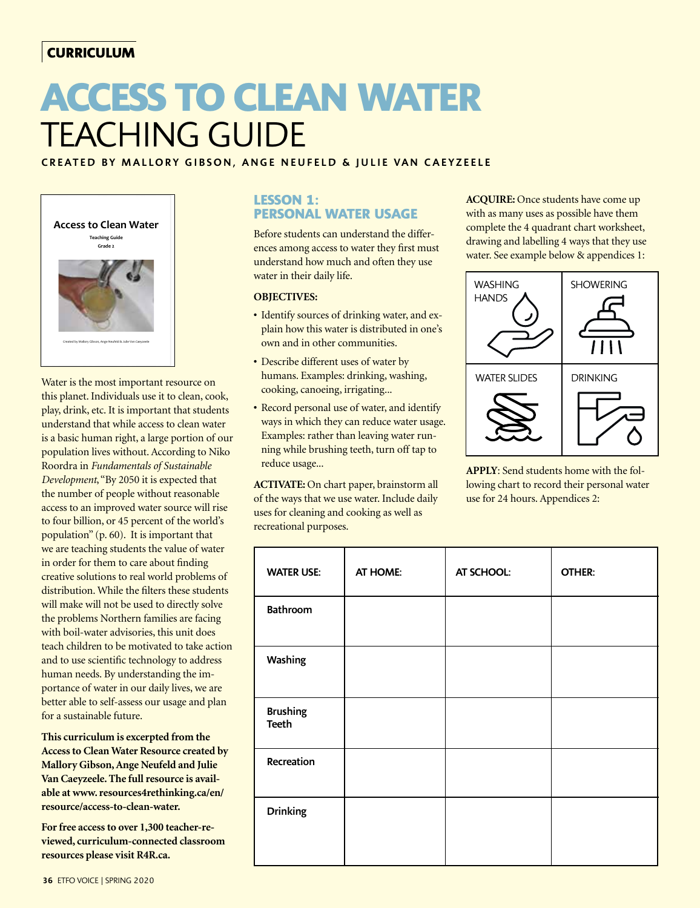# **CURRICULUM**

# **ACCESS TO CLEAN WATER**  TEACHING GUIDE

## CREATED BY MALLORY GIBSON, ANGE NEUFELD & JULIE VAN CAEYZEELE



Water is the most important resource on this planet. Individuals use it to clean, cook, play, drink, etc. It is important that students understand that while access to clean water is a basic human right, a large portion of our population lives without. According to Niko Roordra in *Fundamentals of Sustainable Development*, "By 2050 it is expected that the number of people without reasonable access to an improved water source will rise to four billion, or 45 percent of the world's population" (p. 60). It is important that we are teaching students the value of water in order for them to care about finding creative solutions to real world problems of distribution. While the filters these students will make will not be used to directly solve the problems Northern families are facing with boil-water advisories, this unit does teach children to be motivated to take action and to use scientific technology to address human needs. By understanding the importance of water in our daily lives, we are better able to self-assess our usage and plan for a sustainable future.

**This curriculum is excerpted from the Access to Clean Water Resource created by Mallory Gibson, Ange Neufeld and Julie Van Caeyzeele. The full resource is available at www. resources4rethinking.ca/en/ resource/access-to-clean-water.**

**For free access to over 1,300 teacher-reviewed, curriculum-connected classroom resources please visit R4R.ca.**

## **LESSON 1: PERSONAL WATER USAGE**

Before students can understand the differences among access to water they first must understand how much and often they use water in their daily life.

#### **OBJECTIVES:**

- Identify sources of drinking water, and explain how this water is distributed in one's own and in other communities.
- Describe different uses of water by humans. Examples: drinking, washing, cooking, canoeing, irrigating...
- Record personal use of water, and identify ways in which they can reduce water usage. Examples: rather than leaving water running while brushing teeth, turn off tap to reduce usage...

**ACTIVATE:** On chart paper, brainstorm all of the ways that we use water. Include daily uses for cleaning and cooking as well as recreational purposes.

**ACQUIRE:** Once students have come up with as many uses as possible have them complete the 4 quadrant chart worksheet, drawing and labelling 4 ways that they use water. See example below & appendices 1:



**APPLY**: Send students home with the following chart to record their personal water use for 24 hours. Appendices 2:

| <b>WATER USE:</b>               | AT HOME: | AT SCHOOL: | OTHER: |
|---------------------------------|----------|------------|--------|
| Bathroom                        |          |            |        |
| Washing                         |          |            |        |
| <b>Brushing</b><br><b>Teeth</b> |          |            |        |
| Recreation                      |          |            |        |
| <b>Drinking</b>                 |          |            |        |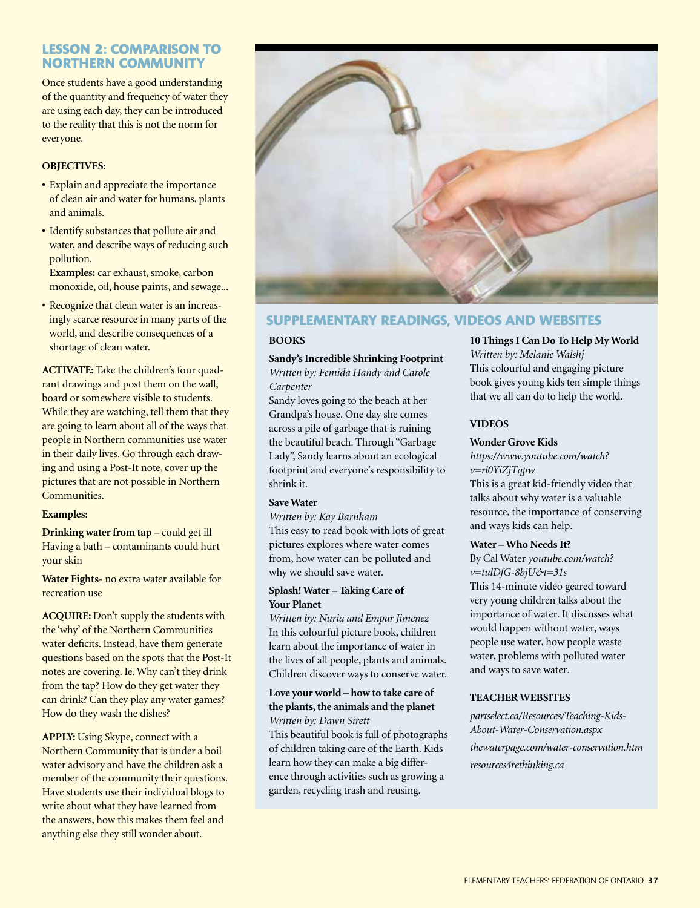## **LESSON 2: COMPARISON TO NORTHERN COMMUNITY**

Once students have a good understanding of the quantity and frequency of water they are using each day, they can be introduced to the reality that this is not the norm for everyone.

#### **OBJECTIVES:**

- **•** Explain and appreciate the importance of clean air and water for humans, plants and animals.
- **•** Identify substances that pollute air and water, and describe ways of reducing such pollution.

**Examples:** car exhaust, smoke, carbon monoxide, oil, house paints, and sewage...

**•** Recognize that clean water is an increasingly scarce resource in many parts of the world, and describe consequences of a shortage of clean water.

**ACTIVATE:** Take the children's four quadrant drawings and post them on the wall, board or somewhere visible to students. While they are watching, tell them that they are going to learn about all of the ways that people in Northern communities use water in their daily lives. Go through each drawing and using a Post-It note, cover up the pictures that are not possible in Northern Communities.

#### **Examples:**

**Drinking water from tap** – could get ill Having a bath – contaminants could hurt your skin

**Water Fights**- no extra water available for recreation use

**ACQUIRE:** Don't supply the students with the 'why' of the Northern Communities water deficits. Instead, have them generate questions based on the spots that the Post-It notes are covering. Ie. Why can't they drink from the tap? How do they get water they can drink? Can they play any water games? How do they wash the dishes?

**APPLY:** Using Skype, connect with a Northern Community that is under a boil water advisory and have the children ask a member of the community their questions. Have students use their individual blogs to write about what they have learned from the answers, how this makes them feel and anything else they still wonder about.



## **SUPPLEMENTARY READINGS, VIDEOS AND WEBSITES**

#### **BOOKS**

**Sandy's Incredible Shrinking Footprint** *Written by: Femida Handy and Carole* 

## *Carpenter*

Sandy loves going to the beach at her Grandpa's house. One day she comes across a pile of garbage that is ruining the beautiful beach. Through "Garbage Lady", Sandy learns about an ecological footprint and everyone's responsibility to shrink it.

#### **Save Water**

*Written by: Kay Barnham* This easy to read book with lots of great pictures explores where water comes from, how water can be polluted and why we should save water.

#### **Splash! Water – Taking Care of Your Planet**

*Written by: Nuria and Empar Jimenez* In this colourful picture book, children learn about the importance of water in the lives of all people, plants and animals. Children discover ways to conserve water.

#### **Love your world – how to take care of the plants, the animals and the planet** *Written by: Dawn Sirett*

This beautiful book is full of photographs of children taking care of the Earth. Kids learn how they can make a big difference through activities such as growing a garden, recycling trash and reusing.

**10 Things I Can Do To Help My World** *Written by: Melanie Walshj* This colourful and engaging picture book gives young kids ten simple things that we all can do to help the world.

#### **VIDEOS**

#### **Wonder Grove Kids**

*https://www.youtube.com/watch? v=rl0YiZjTqpw*

This is a great kid-friendly video that talks about why water is a valuable resource, the importance of conserving and ways kids can help.

#### **Water – Who Needs It?**

By Cal Water *youtube.com/watch? v=tulDfG-8bjU&t=31s* This 14-minute video geared toward very young children talks about the importance of water. It discusses what would happen without water, ways people use water, how people waste water, problems with polluted water and ways to save water.

#### **TEACHER WEBSITES**

*partselect.ca/Resources/Teaching-Kids-About-Water-Conservation.aspx thewaterpage.com/water-conservation.htm resources4rethinking.ca*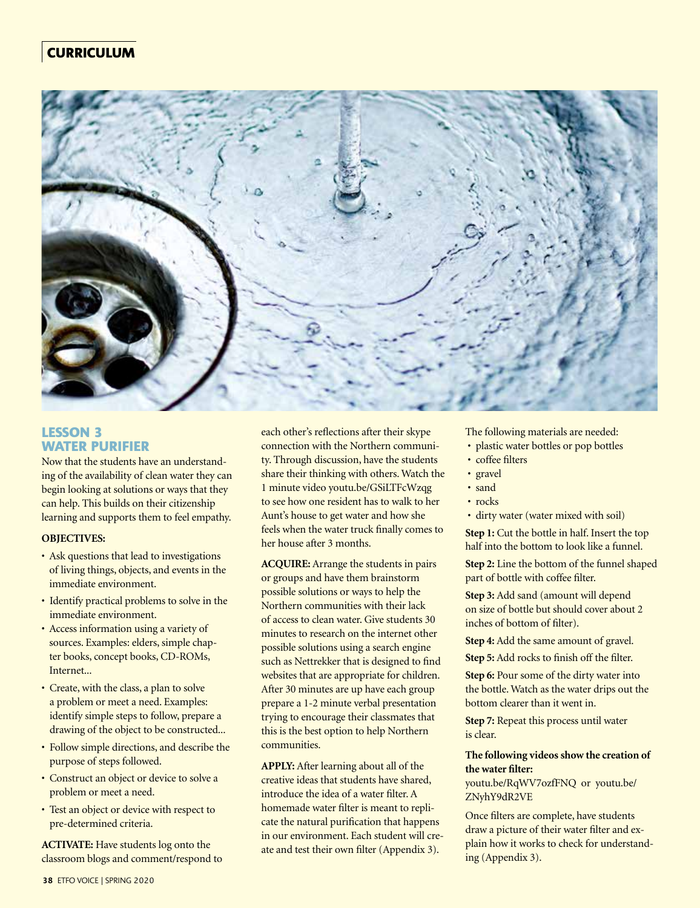## **CURRICULUM**



### **LESSON 3 WATER PURIFIER**

Now that the students have an understanding of the availability of clean water they can begin looking at solutions or ways that they can help. This builds on their citizenship learning and supports them to feel empathy.

#### **OBJECTIVES:**

- Ask questions that lead to investigations of living things, objects, and events in the immediate environment.
- Identify practical problems to solve in the immediate environment.
- Access information using a variety of sources. Examples: elders, simple chapter books, concept books, CD-ROMs, Internet...
- Create, with the class, a plan to solve a problem or meet a need. Examples: identify simple steps to follow, prepare a drawing of the object to be constructed...
- Follow simple directions, and describe the purpose of steps followed.
- Construct an object or device to solve a problem or meet a need.
- Test an object or device with respect to pre-determined criteria.

**ACTIVATE:** Have students log onto the classroom blogs and comment/respond to each other's reflections after their skype connection with the Northern community. Through discussion, have the students share their thinking with others. Watch the 1 minute video youtu.be/GSiLTFcWzqg to see how one resident has to walk to her Aunt's house to get water and how she feels when the water truck finally comes to her house after 3 months.

**ACQUIRE:** Arrange the students in pairs or groups and have them brainstorm possible solutions or ways to help the Northern communities with their lack of access to clean water. Give students 30 minutes to research on the internet other possible solutions using a search engine such as Nettrekker that is designed to find websites that are appropriate for children. After 30 minutes are up have each group prepare a 1-2 minute verbal presentation trying to encourage their classmates that this is the best option to help Northern communities.

**APPLY:** After learning about all of the creative ideas that students have shared, introduce the idea of a water filter. A homemade water filter is meant to replicate the natural purification that happens in our environment. Each student will create and test their own filter (Appendix 3).

The following materials are needed:

- plastic water bottles or pop bottles
- coffee filters
- gravel
- sand
- rocks
- dirty water (water mixed with soil)

**Step 1:** Cut the bottle in half. Insert the top half into the bottom to look like a funnel.

**Step 2:** Line the bottom of the funnel shaped part of bottle with coffee filter.

**Step 3:** Add sand (amount will depend on size of bottle but should cover about 2 inches of bottom of filter).

**Step 4:** Add the same amount of gravel.

**Step 5:** Add rocks to finish off the filter.

**Step 6:** Pour some of the dirty water into the bottle. Watch as the water drips out the bottom clearer than it went in.

**Step 7:** Repeat this process until water is clear.

#### **The following videos show the creation of the water filter:**

youtu.be/RqWV7ozfFNQ or youtu.be/ ZNyhY9dR2VE

Once filters are complete, have students draw a picture of their water filter and explain how it works to check for understanding (Appendix 3).